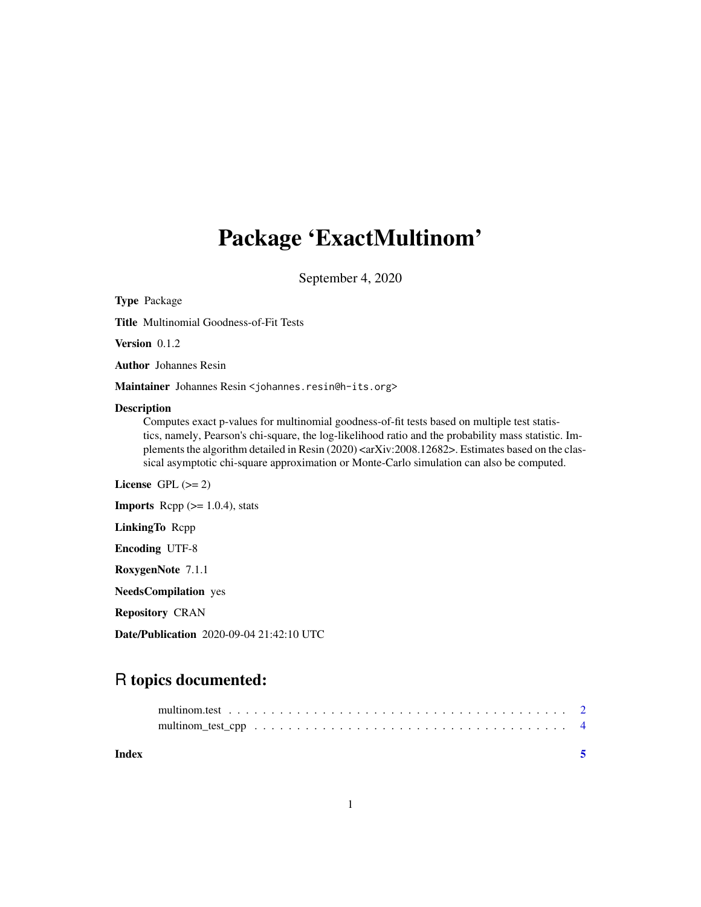## Package 'ExactMultinom'

September 4, 2020

| <b>Type Package</b>                                                                                                                                                                                                                                                                                                                                                                                                                             |
|-------------------------------------------------------------------------------------------------------------------------------------------------------------------------------------------------------------------------------------------------------------------------------------------------------------------------------------------------------------------------------------------------------------------------------------------------|
| <b>Title Multinomial Goodness-of-Fit Tests</b>                                                                                                                                                                                                                                                                                                                                                                                                  |
| Version $0.1.2$                                                                                                                                                                                                                                                                                                                                                                                                                                 |
| <b>Author</b> Johannes Resin                                                                                                                                                                                                                                                                                                                                                                                                                    |
| Maintainer Johannes Resin < johannes.resin@h-its.org>                                                                                                                                                                                                                                                                                                                                                                                           |
| <b>Description</b><br>Computes exact p-values for multinomial goodness-of-fit tests based on multiple test statis-<br>tics, namely, Pearson's chi-square, the log-likelihood ratio and the probability mass statistic. Im-<br>plements the algorithm detailed in Resin (2020) <arxiv:2008.12682>. Estimates based on the clas-<br/>sical asymptotic chi-square approximation or Monte-Carlo simulation can also be computed.</arxiv:2008.12682> |
| License GPL $(>= 2)$                                                                                                                                                                                                                                                                                                                                                                                                                            |
| <b>Imports</b> Rcpp $(>= 1.0.4)$ , stats                                                                                                                                                                                                                                                                                                                                                                                                        |
| <b>LinkingTo Repp</b>                                                                                                                                                                                                                                                                                                                                                                                                                           |
| <b>Encoding UTF-8</b>                                                                                                                                                                                                                                                                                                                                                                                                                           |
| RoxygenNote 7.1.1                                                                                                                                                                                                                                                                                                                                                                                                                               |
| <b>NeedsCompilation</b> yes                                                                                                                                                                                                                                                                                                                                                                                                                     |
| <b>Repository CRAN</b>                                                                                                                                                                                                                                                                                                                                                                                                                          |

Date/Publication 2020-09-04 21:42:10 UTC

### R topics documented:

| Index |  |  |  |  |  |  |  |  |  |  |  |  |  |  |  |  |
|-------|--|--|--|--|--|--|--|--|--|--|--|--|--|--|--|--|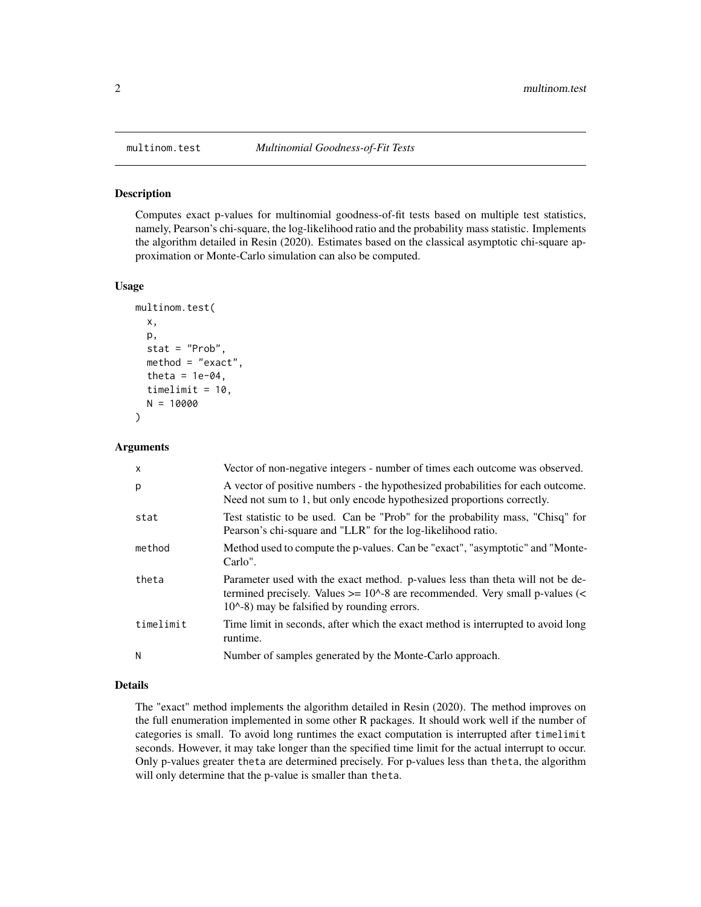<span id="page-1-1"></span><span id="page-1-0"></span>

#### Description

Computes exact p-values for multinomial goodness-of-fit tests based on multiple test statistics, namely, Pearson's chi-square, the log-likelihood ratio and the probability mass statistic. Implements the algorithm detailed in Resin (2020). Estimates based on the classical asymptotic chi-square approximation or Monte-Carlo simulation can also be computed.

#### Usage

```
multinom.test(
  x,
 p,
  stat = "Prob",
 method = "exact",theta = 1e-04,
  timelimit = 10,
 N = 10000
)
```
#### Arguments

| $\mathsf{x}$ | Vector of non-negative integers - number of times each outcome was observed.                                                                                                                                                     |
|--------------|----------------------------------------------------------------------------------------------------------------------------------------------------------------------------------------------------------------------------------|
| p            | A vector of positive numbers - the hypothesized probabilities for each outcome.<br>Need not sum to 1, but only encode hypothesized proportions correctly.                                                                        |
| stat         | Test statistic to be used. Can be "Prob" for the probability mass, "Chisq" for<br>Pearson's chi-square and "LLR" for the log-likelihood ratio.                                                                                   |
| method       | Method used to compute the p-values. Can be "exact", "asymptotic" and "Monte-<br>Carlo".                                                                                                                                         |
| theta        | Parameter used with the exact method. p-values less than theta will not be de-<br>termined precisely. Values $>= 10^{\circ}$ -8 are recommended. Very small p-values (<<br>$10^{\circ}$ -8) may be falsified by rounding errors. |
| timelimit    | Time limit in seconds, after which the exact method is interrupted to avoid long<br>runtime.                                                                                                                                     |
| N            | Number of samples generated by the Monte-Carlo approach.                                                                                                                                                                         |
|              |                                                                                                                                                                                                                                  |

#### Details

The "exact" method implements the algorithm detailed in Resin (2020). The method improves on the full enumeration implemented in some other R packages. It should work well if the number of categories is small. To avoid long runtimes the exact computation is interrupted after timelimit seconds. However, it may take longer than the specified time limit for the actual interrupt to occur. Only p-values greater theta are determined precisely. For p-values less than theta, the algorithm will only determine that the p-value is smaller than theta.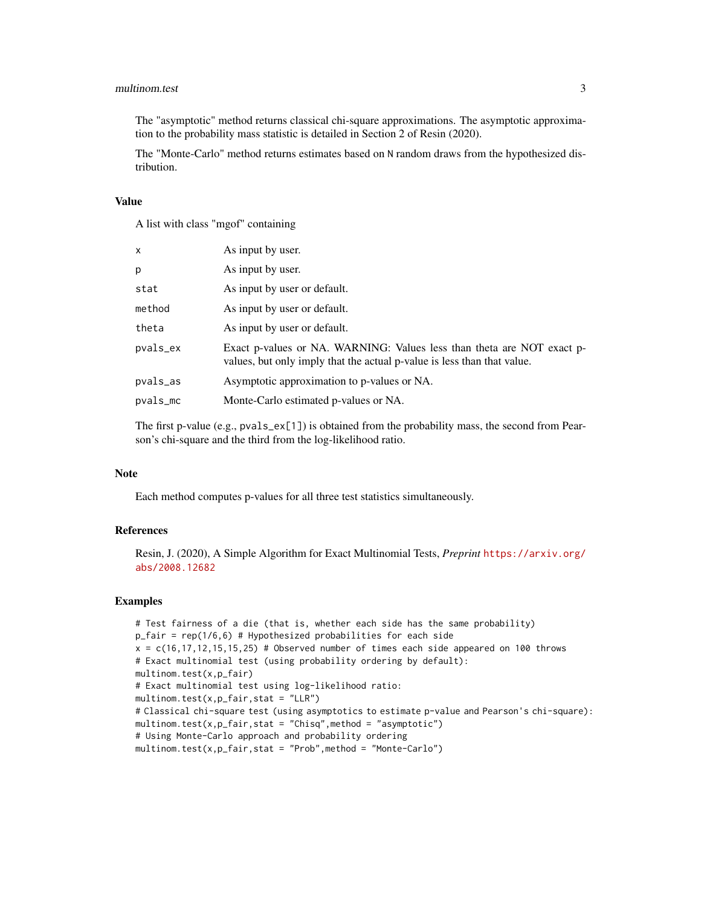#### multinom.test 3

The "asymptotic" method returns classical chi-square approximations. The asymptotic approximation to the probability mass statistic is detailed in Section 2 of Resin (2020).

The "Monte-Carlo" method returns estimates based on N random draws from the hypothesized distribution.

#### Value

A list with class "mgof" containing

| X        | As input by user.                                                                                                                                 |
|----------|---------------------------------------------------------------------------------------------------------------------------------------------------|
| p        | As input by user.                                                                                                                                 |
| stat     | As input by user or default.                                                                                                                      |
| method   | As input by user or default.                                                                                                                      |
| theta    | As input by user or default.                                                                                                                      |
| pvals_ex | Exact p-values or NA. WARNING: Values less than theta are NOT exact p-<br>values, but only imply that the actual p-value is less than that value. |
| pvals_as | Asymptotic approximation to p-values or NA.                                                                                                       |
| pvals_mc | Monte-Carlo estimated p-values or NA.                                                                                                             |
|          |                                                                                                                                                   |

The first p-value (e.g.,  $pvals\_ex[1]$ ) is obtained from the probability mass, the second from Pearson's chi-square and the third from the log-likelihood ratio.

#### Note

Each method computes p-values for all three test statistics simultaneously.

#### References

Resin, J. (2020), A Simple Algorithm for Exact Multinomial Tests, *Preprint* [https://arxiv.org/](https://arxiv.org/abs/2008.12682) [abs/2008.12682](https://arxiv.org/abs/2008.12682)

#### Examples

```
# Test fairness of a die (that is, whether each side has the same probability)
p_fair = rep(1/6,6) # Hypothesized probabilities for each side
x = c(16, 17, 12, 15, 15, 25) # Observed number of times each side appeared on 100 throws
# Exact multinomial test (using probability ordering by default):
multinom.test(x,p_fair)
# Exact multinomial test using log-likelihood ratio:
multipation.test(x,p_fair,stat = "LLR")# Classical chi-square test (using asymptotics to estimate p-value and Pearson's chi-square):
multinom.test(x,p_fair,stat = "Chisq",method = "asymptotic")
# Using Monte-Carlo approach and probability ordering
multinom.test(x,p_fair,stat = "Prob",method = "Monte-Carlo")
```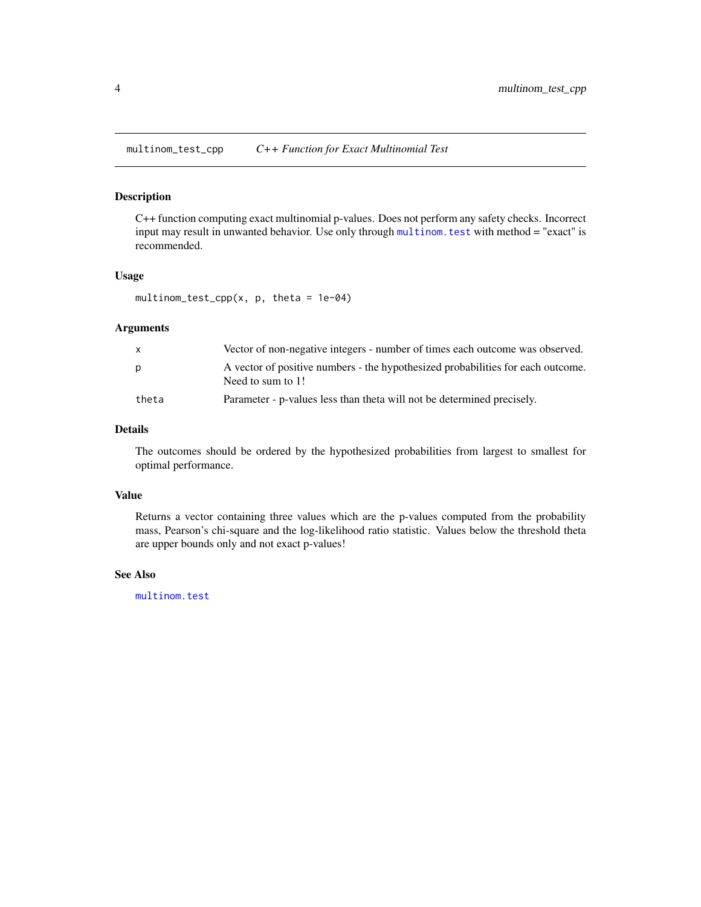<span id="page-3-0"></span>multinom\_test\_cpp *C++ Function for Exact Multinomial Test*

#### Description

C++ function computing exact multinomial p-values. Does not perform any safety checks. Incorrect input may result in unwanted behavior. Use only through [multinom.test](#page-1-1) with method = "exact" is recommended.

#### Usage

multinom\_test\_cpp(x,  $p$ , theta = 1e-04)

#### Arguments

|       | Vector of non-negative integers - number of times each outcome was observed.                         |
|-------|------------------------------------------------------------------------------------------------------|
| D     | A vector of positive numbers - the hypothesized probabilities for each outcome.<br>Need to sum to 1! |
| theta | Parameter - p-values less than theta will not be determined precisely.                               |

#### Details

The outcomes should be ordered by the hypothesized probabilities from largest to smallest for optimal performance.

#### Value

Returns a vector containing three values which are the p-values computed from the probability mass, Pearson's chi-square and the log-likelihood ratio statistic. Values below the threshold theta are upper bounds only and not exact p-values!

#### See Also

[multinom.test](#page-1-1)